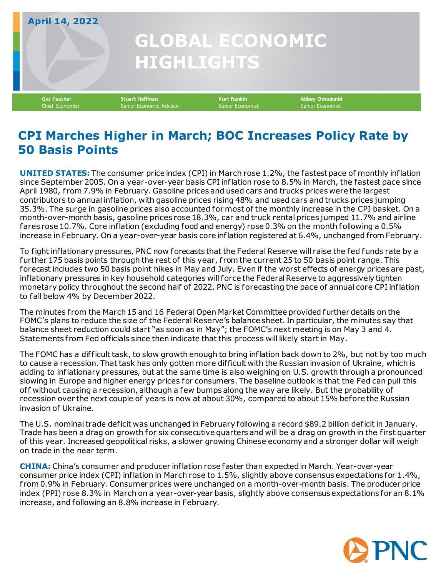## **GLOBAL ECONOMIC HIGHLIGHTS April 14, 2022 Gus Faucher Stuart Hoffman Kurt Rankin Abbey Omodunbi** Senior Economic Advisor

**CPI Marches Higher in March; BOC Increases Policy Rate by 50 Basis Points**

**UNITED STATES:** The consumer price index (CPI) in March rose 1.2%, the fastest pace of monthly inflation since September 2005. On a year-over-year basis CPI inflation rose to 8.5% in March, the fastest pace since April 1980, from 7.9% in February. Gasoline prices and used cars and trucks prices were the largest contributors to annual inflation, with gasoline prices rising 48% and used cars and trucks prices jumping 35.3%. The surge in gasoline prices also accounted for most of the monthly increase in the CPI basket. On a month-over-month basis, gasoline prices rose 18.3%, car and truck rental prices jumped 11.7% and airline fares rose 10.7%. Core inflation (excluding food and energy) rose 0.3% on the month following a 0.5% increase in February. On a year-over-year basis core inflation registered at 6.4%, unchanged from February.

To fight inflationary pressures, PNC now forecasts that the Federal Reserve will raise the fed funds rate by a further 175 basis points through the rest of this year, from the current 25 to 50 basis point range. This forecast includes two 50 basis point hikes in May and July. Even if the worst effects of energy prices are past, inflationary pressures in key household categories will force the Federal Reserve to aggressively tighten monetary policy throughout the second half of 2022. PNC is forecasting the pace of annual core CPI inflation to fall below 4% by December 2022.

The minutes from the March 15 and 16 Federal Open Market Committee provided further details on the FOMC's plans to reduce the size of the Federal Reserve's balance sheet. In particular, the minutes say that balance sheet reduction could start "as soon as in May"; the FOMC's next meeting is on May 3 and 4. Statements from Fed officials since then indicate that this process will likely start in May.

The FOMC has a dif ficult task, to slow growth enough to bring inflation back down to 2%, but not by too much to cause a recession. That task has only gotten more dif ficult with the Russian invasion of Ukraine, which is adding to inflationary pressures, but at the same time is also weighing on U.S. growth through a pronounced slowing in Europe and higher energy prices for consumers. The baseline outlook is that the Fed can pull this off without causing a recession, although a few bumps along the way are likely. But the probability of recession over the next couple of years is now at about 30%, compared to about 15% before the Russian invasion of Ukraine.

The U.S. nominal trade deficit was unchanged in February following a record \$89.2 billion deficit in January. Trade has been a drag on growth for six consecutive quarters and will be a drag on growth in the first quarter of this year. Increased geopolitical risks, a slower growing Chinese economy and a stronger dollar will weigh on trade in the near term.

**CHINA:** China's consumer and producer inflation rose faster than expected in March. Year-over-year consumer price index (CPI) inflation in March rose to 1.5%, slightly above consensus expectations for 1.4%, f rom 0.9% in February. Consumer prices were unchanged on a month-over-month basis. The producer price index (PPI) rose 8.3% in March on a year-over-year basis, slightly above consensus expectations for an 8.1% increase, and following an 8.8% increase in February.

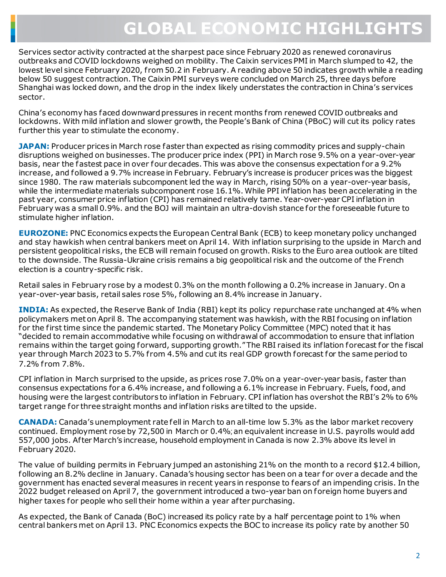## **GLOBAL ECONOMIC HIGHLIGHTS**

Services sector activity contracted at the sharpest pace since February 2020 as renewed coronavirus outbreaks and COVID lockdowns weighed on mobility. The Caixin services PMI in March slumped to 42, the lowest level since February 2020, from 50.2 in February. A reading above 50 indicates growth while a reading below 50 suggest contraction. The Caixin PMI surveys were concluded on March 25, three days before Shanghai was locked down, and the drop in the index likely understates the contraction in China's services sector.

China's economy has faced downward pressures in recent months f rom renewed COVID outbreaks and lockdowns. With mild inflation and slower growth, the People's Bank of China (PBoC) will cut its policy rates further this year to stimulate the economy.

**JAPAN:** Producer prices in March rose faster than expected as rising commodity prices and supply-chain disruptions weighed on businesses. The producer price index (PPI) in March rose 9.5% on a year-over-year basis, near the fastest pace in over four decades. This was above the consensus expectation for a 9.2% increase, and followed a 9.7% increase in February. February's increase is producer prices was the biggest since 1980. The raw materials subcomponent led the way in March, rising 50% on a year-over-year basis, while the intermediate materials subcomponent rose 16.1%. While PPI inflation has been accelerating in the past year, consumer price inflation (CPI) has remained relatively tame. Year-over-year CPI inflation in February was a small 0.9%. and the BOJ will maintain an ultra-dovish stance for the foreseeable future to stimulate higher inflation.

**EUROZONE:** PNC Economics expects the European Central Bank (ECB) to keep monetary policy unchanged and stay hawkish when central bankers meet on April 14. With inflation surprising to the upside in March and persistent geopolitical risks, the ECB will remain focused on growth. Risks to the Euro area outlook are tilted to the downside. The Russia-Ukraine crisis remains a big geopolitical risk and the outcome of the French election is a country-specific risk.

Retail sales in February rose by a modest 0.3% on the month following a 0.2% increase in January. On a year-over-year basis, retail sales rose 5%, following an 8.4% increase in January.

**INDIA:** As expected, the Reserve Bank of India (RBI) kept its policy repurchase rate unchanged at 4% when policymakers met on April 8. The accompanying statement was hawkish, with the RBI focusing on inflation for the first time since the pandemic started. The Monetary Policy Committee (MPC) noted that it has "decided to remain accommodative while focusing on withdrawal of accommodation to ensure that inflation remains within the target going forward, supporting growth." The RBI raised its inflation forecast for the fiscal year through March 2023 to 5.7% f rom 4.5% and cut its real GDP growth forecast for the same period to 7.2% f rom 7.8%.

CPI inflation in March surprised to the upside, as prices rose 7.0% on a year-over-year basis, faster than consensus expectations for a 6.4% increase, and following a 6.1% increase in February. Fuels, food, and housing were the largest contributors to inflation in February. CPI inflation has overshot the RBI's 2% to 6% target range for three straight months and inflation risks are tilted to the upside.

**CANADA:** Canada's unemployment rate fell in March to an all-time low 5.3% as the labor market recovery continued. Employment rose by 72,500 in March or 0.4%; an equivalent increase in U.S. payrolls would add 557,000 jobs. Af ter March's increase, household employment in Canada is now 2.3% above its level in February 2020.

The value of building permits in February jumped an astonishing 21% on the month to a record \$12.4 billion, following an 8.2% decline in January. Canada's housing sector has been on a tear for over a decade and the government has enacted several measures in recent years in response to fears of an impending crisis. In the 2022 budget released on April 7, the government introduced a two-year ban on foreign home buyers and higher taxes for people who sell their home within a year af ter purchasing.

As expected, the Bank of Canada (BoC) increased its policy rate by a half percentage point to 1% when central bankers met on April 13. PNC Economics expects the BOC to increase its policy rate by another 50